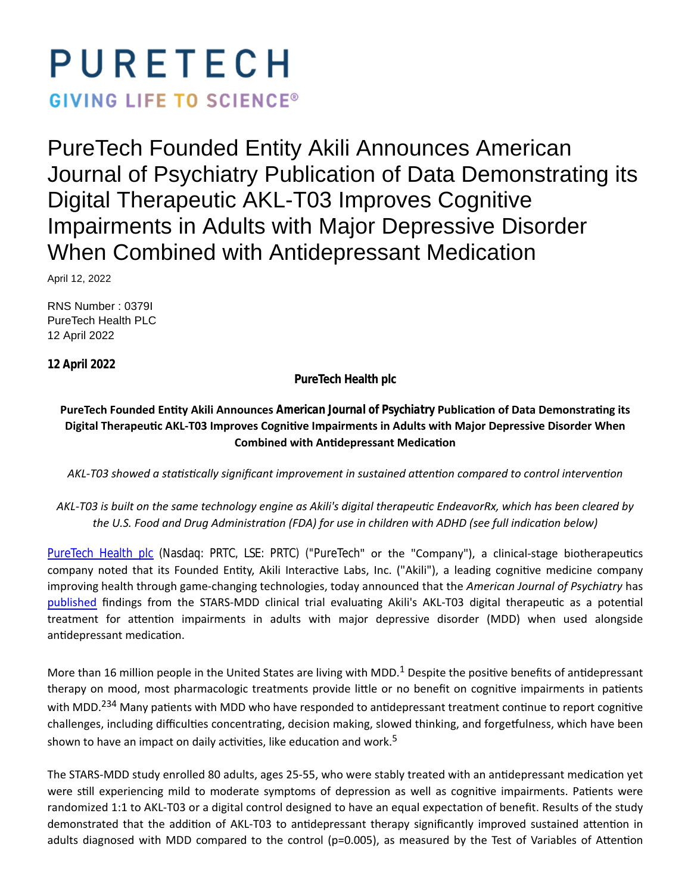# PURETECH

**GIVING LIFE TO SCIENCE®** 

PureTech Founded Entity Akili Announces American Journal of Psychiatry Publication of Data Demonstrating its Digital Therapeutic AKL-T03 Improves Cognitive Impairments in Adults with Major Depressive Disorder When Combined with Antidepressant Medication

April 12, 2022

RNS Number : 0379I PureTech Health PLC 12 April 2022

**12 April 2022**

**PureTech Health plc**

PureTech Founded Entity Akili Announces *American Journal of Psychiatry* Publication of Data Demonstrating its Digital Therapeutic AKL-T03 Improves Cognitive Impairments in Adults with Major Depressive Disorder When **Combined with Antidepressant Medication** 

AKL-T03 showed a statistically significant improvement in sustained attention compared to control intervention

# AKL-T03 is built on the same technology engine as Akili's digital therapeutic EndeavorRx, which has been cleared by the U.S. Food and Drug Administration (FDA) for use in children with ADHD (see full indication below)

[PureTech Health plc](https://puretechhealth.com/) (Nasdaq: PRTC, LSE: PRTC) ("PureTech" or the "Company"), a clinical-stage biotherapeutics company noted that its Founded Entity, Akili Interactive Labs, Inc. ("Akili"), a leading cognitive medicine company improving health through game-changing technologies, today announced that the *American Journal of Psychiatry* has [published](https://ajp.psychiatryonline.org/doi/abs/10.1176/appi.ajp.21020125) findings from the STARS-MDD clinical trial evaluating Akili's AKL-T03 digital therapeutic as a potential treatment for attention impairments in adults with major depressive disorder (MDD) when used alongside antidepressant medication.

More than 16 million people in the United States are living with MDD.<sup>1</sup> Despite the positive benefits of antidepressant therapy on mood, most pharmacologic treatments provide little or no benefit on cognitive impairments in patients with MDD.<sup>234</sup> Many patients with MDD who have responded to antidepressant treatment continue to report cognitive challenges, including difficulties concentrating, decision making, slowed thinking, and forgetfulness, which have been shown to have an impact on daily activities, like education and work.<sup>5</sup>

The STARS-MDD study enrolled 80 adults, ages 25-55, who were stably treated with an antidepressant medication yet were still experiencing mild to moderate symptoms of depression as well as cognitive impairments. Patients were randomized 1:1 to AKL-T03 or a digital control designed to have an equal expectation of benefit. Results of the study demonstrated that the addition of AKL-T03 to antidepressant therapy significantly improved sustained attention in adults diagnosed with MDD compared to the control ( $p=0.005$ ), as measured by the Test of Variables of Attention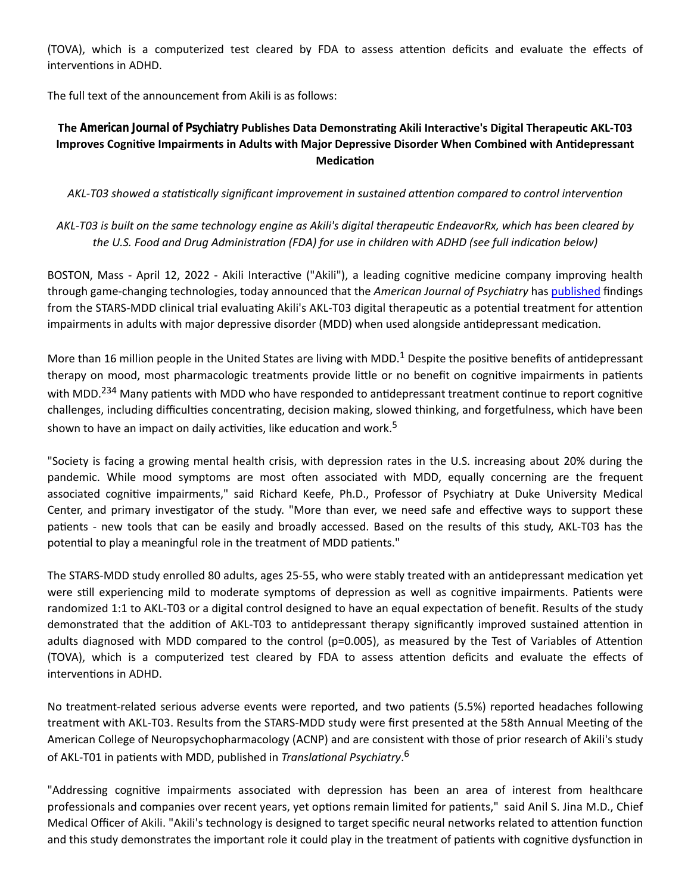(TOVA), which is a computerized test cleared by FDA to assess attention deficits and evaluate the effects of interventions in ADHD.

The full text of the announcement from Akili is as follows:

# **The** *American Journal of Psychiatry* **Publishes Data DemonstraƟng Akili InteracƟve's Digital TherapeuƟc AKL-T03 Improves Cognitive Impairments in Adults with Major Depressive Disorder When Combined with Antidepressant MedicaƟon**

AKL-T03 showed a statistically significant improvement in sustained attention compared to control intervention

AKL-T03 is built on the same technology engine as Akili's digital therapeutic EndeavorRx, which has been cleared by the U.S. Food and Drug Administration (FDA) for use in children with ADHD (see full indication below)

BOSTON, Mass - April 12, 2022 - Akili Interactive ("Akili"), a leading cognitive medicine company improving health through game-changing technologies, today announced that the *American Journal of Psychiatry* has [published](https://ajp.psychiatryonline.org/doi/abs/10.1176/appi.ajp.21020125) findings from the STARS-MDD clinical trial evaluating Akili's AKL-T03 digital therapeutic as a potential treatment for attention impairments in adults with major depressive disorder (MDD) when used alongside antidepressant medication.

More than 16 million people in the United States are living with MDD.<sup>1</sup> Despite the positive benefits of antidepressant therapy on mood, most pharmacologic treatments provide little or no benefit on cognitive impairments in patients with MDD.<sup>234</sup> Many patients with MDD who have responded to antidepressant treatment continue to report cognitive challenges, including difficulties concentrating, decision making, slowed thinking, and forgetfulness, which have been shown to have an impact on daily activities, like education and work.<sup>5</sup>

"Society is facing a growing mental health crisis, with depression rates in the U.S. increasing about 20% during the pandemic. While mood symptoms are most often associated with MDD, equally concerning are the frequent associated cognitive impairments," said Richard Keefe, Ph.D., Professor of Psychiatry at Duke University Medical Center, and primary investigator of the study. "More than ever, we need safe and effective ways to support these patients - new tools that can be easily and broadly accessed. Based on the results of this study, AKL-T03 has the potential to play a meaningful role in the treatment of MDD patients."

The STARS-MDD study enrolled 80 adults, ages 25-55, who were stably treated with an antidepressant medication yet were still experiencing mild to moderate symptoms of depression as well as cognitive impairments. Patients were randomized 1:1 to AKL-T03 or a digital control designed to have an equal expectation of benefit. Results of the study demonstrated that the addition of AKL-T03 to antidepressant therapy significantly improved sustained attention in adults diagnosed with MDD compared to the control ( $p=0.005$ ), as measured by the Test of Variables of Attention (TOVA), which is a computerized test cleared by FDA to assess attention deficits and evaluate the effects of interventions in ADHD.

No treatment-related serious adverse events were reported, and two patients (5.5%) reported headaches following treatment with AKL-T03. Results from the STARS-MDD study were first presented at the 58th Annual Meeting of the American College of Neuropsychopharmacology (ACNP) and are consistent with those of prior research of Akili's study of AKL-T01 in patients with MDD, published in *Translational Psychiatry*.<sup>6</sup>

"Addressing cognitive impairments associated with depression has been an area of interest from healthcare professionals and companies over recent years, yet options remain limited for patients," said Anil S. Jina M.D., Chief Medical Officer of Akili. "Akili's technology is designed to target specific neural networks related to attention function and this study demonstrates the important role it could play in the treatment of patients with cognitive dysfunction in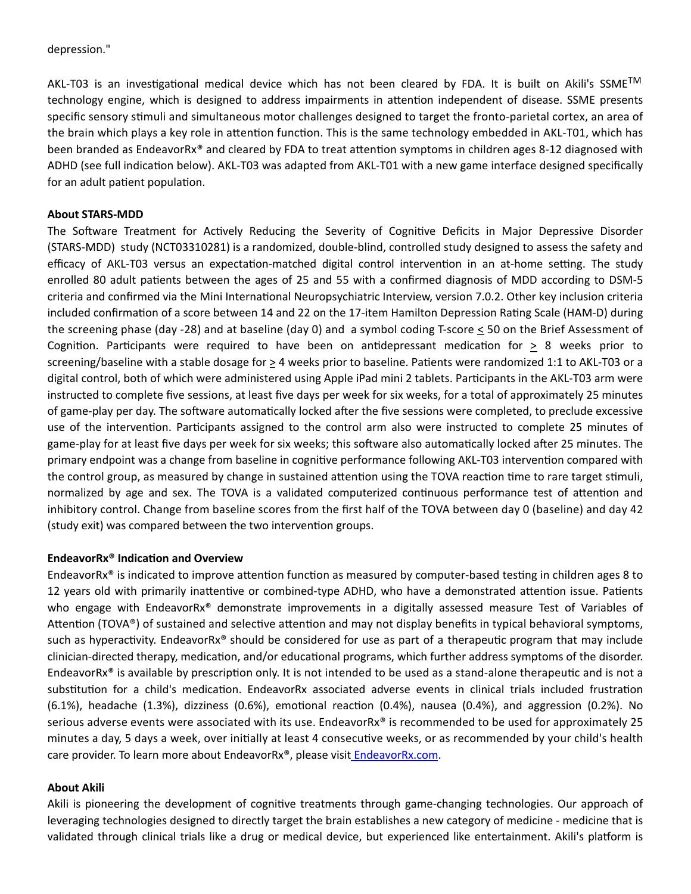#### depression."

AKL-T03 is an investigational medical device which has not been cleared by FDA. It is built on Akili's SSME™ technology engine, which is designed to address impairments in attention independent of disease. SSME presents specific sensory stimuli and simultaneous motor challenges designed to target the fronto-parietal cortex, an area of the brain which plays a key role in attention function. This is the same technology embedded in AKL-T01, which has been branded as EndeavorRx® and cleared by FDA to treat attention symptoms in children ages 8-12 diagnosed with ADHD (see full indication below). AKL-T03 was adapted from AKL-T01 with a new game interface designed specifically for an adult patient population.

#### **About STARS-MDD**

The Software Treatment for Actively Reducing the Severity of Cognitive Deficits in Major Depressive Disorder (STARS-MDD) study (NCT03310281) is a randomized, double-blind, controlled study designed to assess the safety and efficacy of AKL-T03 versus an expectation-matched digital control intervention in an at-home setting. The study enrolled 80 adult patients between the ages of 25 and 55 with a confirmed diagnosis of MDD according to DSM-5 criteria and confirmed via the Mini International Neuropsychiatric Interview, version 7.0.2. Other key inclusion criteria included confirmation of a score between 14 and 22 on the 17-item Hamilton Depression Rating Scale (HAM-D) during the screening phase (day -28) and at baseline (day 0) and a symbol coding T-score  $\leq$  50 on the Brief Assessment of Cognition. Participants were required to have been on antidepressant medication for  $> 8$  weeks prior to screening/baseline with a stable dosage for  $\geq 4$  weeks prior to baseline. Patients were randomized 1:1 to AKL-T03 or a digital control, both of which were administered using Apple iPad mini 2 tablets. Participants in the AKL-T03 arm were instructed to complete five sessions, at least five days per week for six weeks, for a total of approximately 25 minutes of game-play per day. The software automatically locked after the five sessions were completed, to preclude excessive use of the intervention. Participants assigned to the control arm also were instructed to complete 25 minutes of game-play for at least five days per week for six weeks; this software also automatically locked after 25 minutes. The primary endpoint was a change from baseline in cognitive performance following AKL-T03 intervention compared with the control group, as measured by change in sustained attention using the TOVA reaction time to rare target stimuli, normalized by age and sex. The TOVA is a validated computerized continuous performance test of attention and inhibitory control. Change from baseline scores from the first half of the TOVA between day 0 (baseline) and day 42 (study exit) was compared between the two intervention groups.

## **EndeavorRx<sup>®</sup> Indication and Overview**

EndeavorRx<sup>®</sup> is indicated to improve attention function as measured by computer-based testing in children ages 8 to 12 years old with primarily inattentive or combined-type ADHD, who have a demonstrated attention issue. Patients who engage with EndeavorRx<sup>®</sup> demonstrate improvements in a digitally assessed measure Test of Variables of Attention (TOVA®) of sustained and selective attention and may not display benefits in typical behavioral symptoms, such as hyperactivity. EndeavorRx<sup>®</sup> should be considered for use as part of a therapeutic program that may include clinician-directed therapy, medication, and/or educational programs, which further address symptoms of the disorder. EndeavorRx<sup>®</sup> is available by prescription only. It is not intended to be used as a stand-alone therapeutic and is not a substitution for a child's medication. EndeavorRx associated adverse events in clinical trials included frustration  $(6.1%)$ , headache  $(1.3%)$ , dizziness  $(0.6%)$ , emotional reaction  $(0.4%)$ , nausea  $(0.4%)$ , and aggression  $(0.2%)$ . No serious adverse events were associated with its use. EndeavorRx® is recommended to be used for approximately 25 minutes a day, 5 days a week, over initially at least 4 consecutive weeks, or as recommended by your child's health care provider. To learn more about EndeavorRx®, please visi[t EndeavorRx.com.](https://www.endeavorrx.com/)

#### **About Akili**

Akili is pioneering the development of cognitive treatments through game-changing technologies. Our approach of leveraging technologies designed to directly target the brain establishes a new category of medicine - medicine that is validated through clinical trials like a drug or medical device, but experienced like entertainment. Akili's platform is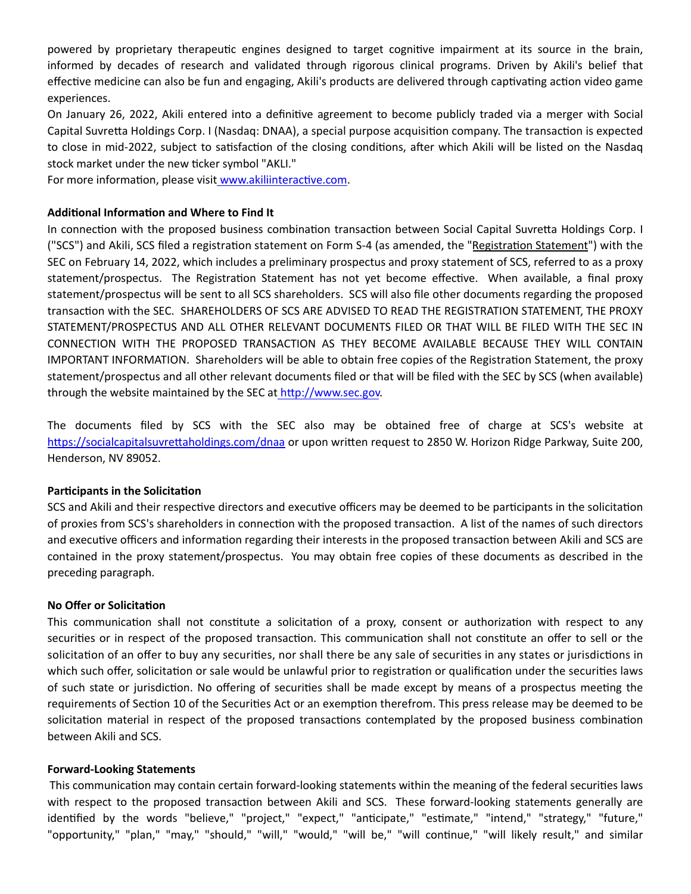powered by proprietary therapeutic engines designed to target cognitive impairment at its source in the brain, informed by decades of research and validated through rigorous clinical programs. Driven by Akili's belief that effective medicine can also be fun and engaging, Akili's products are delivered through captivating action video game experiences.

On January 26, 2022, Akili entered into a definitive agreement to become publicly traded via a merger with Social Capital Suvretta Holdings Corp. I (Nasdaq: DNAA), a special purpose acquisition company. The transaction is expected to close in mid-2022, subject to satisfaction of the closing conditions, after which Akili will be listed on the Nasdaq stock market under the new ticker symbol "AKLI."

For more information, please visit www.akiliinteractive.com.

## **Additional Information and Where to Find It**

In connection with the proposed business combination transaction between Social Capital Suvretta Holdings Corp. I ("SCS") and Akili, SCS filed a registration statement on Form S-4 (as amended, the "Registration Statement") with the SEC on February 14, 2022, which includes a preliminary prospectus and proxy statement of SCS, referred to as a proxy statement/prospectus. The Registration Statement has not yet become effective. When available, a final proxy statement/prospectus will be sent to all SCS shareholders. SCS will also file other documents regarding the proposed transaction with the SEC. SHAREHOLDERS OF SCS ARE ADVISED TO READ THE REGISTRATION STATEMENT, THE PROXY STATEMENT/PROSPECTUS AND ALL OTHER RELEVANT DOCUMENTS FILED OR THAT WILL BE FILED WITH THE SEC IN CONNECTION WITH THE PROPOSED TRANSACTION AS THEY BECOME AVAILABLE BECAUSE THEY WILL CONTAIN IMPORTANT INFORMATION. Shareholders will be able to obtain free copies of the Registration Statement, the proxy statement/prospectus and all other relevant documents filed or that will be filed with the SEC by SCS (when available) through the website maintained by the SEC at http://www.sec.gov.

The documents filed by SCS with the SEC also may be obtained free of charge at SCS's website at https://socialcapitalsuvrettaholdings.com/dnaa or upon written request to 2850 W. Horizon Ridge Parkway, Suite 200, Henderson, NV 89052.

## **Participants in the Solicitation**

SCS and Akili and their respective directors and executive officers may be deemed to be participants in the solicitation of proxies from SCS's shareholders in connection with the proposed transaction. A list of the names of such directors and executive officers and information regarding their interests in the proposed transaction between Akili and SCS are contained in the proxy statement/prospectus. You may obtain free copies of these documents as described in the preceding paragraph.

#### **No Offer or SolicitaƟon**

This communication shall not constitute a solicitation of a proxy, consent or authorization with respect to any securities or in respect of the proposed transaction. This communication shall not constitute an offer to sell or the solicitation of an offer to buy any securities, nor shall there be any sale of securities in any states or jurisdictions in which such offer, solicitation or sale would be unlawful prior to registration or qualification under the securities laws of such state or jurisdiction. No offering of securities shall be made except by means of a prospectus meeting the requirements of Section 10 of the Securities Act or an exemption therefrom. This press release may be deemed to be solicitation material in respect of the proposed transactions contemplated by the proposed business combination between Akili and SCS.

#### **Forward-Looking Statements**

This communication may contain certain forward-looking statements within the meaning of the federal securities laws with respect to the proposed transaction between Akili and SCS. These forward-looking statements generally are identified by the words "believe," "project," "expect," "anticipate," "estimate," "intend," "strategy," "future," "opportunity," "plan," "may," "should," "will," "would," "will be," "will continue," "will likely result," and similar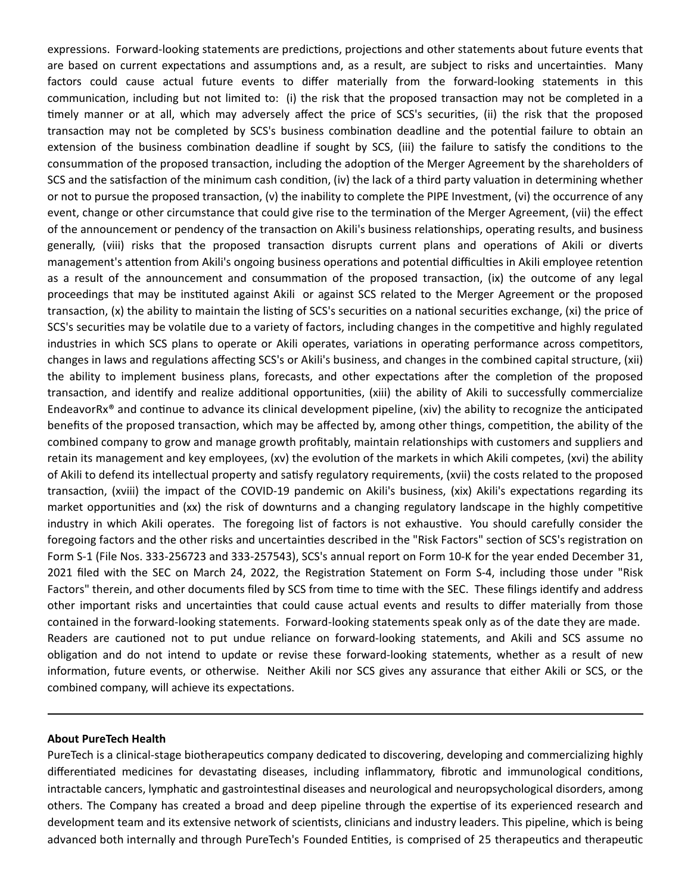expressions. Forward-looking statements are predictions, projections and other statements about future events that are based on current expectations and assumptions and, as a result, are subject to risks and uncertainties. Many factors could cause actual future events to differ materially from the forward-looking statements in this communication, including but not limited to: (i) the risk that the proposed transaction may not be completed in a timely manner or at all, which may adversely affect the price of SCS's securities, (ii) the risk that the proposed transaction may not be completed by SCS's business combination deadline and the potential failure to obtain an extension of the business combination deadline if sought by SCS, (iii) the failure to satisfy the conditions to the consummation of the proposed transaction, including the adoption of the Merger Agreement by the shareholders of SCS and the satisfaction of the minimum cash condition, (iv) the lack of a third party valuation in determining whether or not to pursue the proposed transaction,  $(v)$  the inability to complete the PIPE Investment,  $(vi)$  the occurrence of any event, change or other circumstance that could give rise to the termination of the Merger Agreement, (vii) the effect of the announcement or pendency of the transaction on Akili's business relationships, operating results, and business generally, (viii) risks that the proposed transaction disrupts current plans and operations of Akili or diverts management's attention from Akili's ongoing business operations and potential difficulties in Akili employee retention as a result of the announcement and consummation of the proposed transaction, (ix) the outcome of any legal proceedings that may be instituted against Akili or against SCS related to the Merger Agreement or the proposed transaction, (x) the ability to maintain the listing of SCS's securities on a national securities exchange, (xi) the price of SCS's securities may be volatile due to a variety of factors, including changes in the competitive and highly regulated industries in which SCS plans to operate or Akili operates, variations in operating performance across competitors, changes in laws and regulations affecting SCS's or Akili's business, and changes in the combined capital structure, (xii) the ability to implement business plans, forecasts, and other expectations after the completion of the proposed transaction, and identify and realize additional opportunities, (xiii) the ability of Akili to successfully commercialize EndeavorRx® and continue to advance its clinical development pipeline, (xiv) the ability to recognize the anticipated benefits of the proposed transaction, which may be affected by, among other things, competition, the ability of the combined company to grow and manage growth profitably, maintain relationships with customers and suppliers and retain its management and key employees, (xv) the evolution of the markets in which Akili competes, (xvi) the ability of Akili to defend its intellectual property and satisfy regulatory requirements, (xvii) the costs related to the proposed transaction, (xviii) the impact of the COVID-19 pandemic on Akili's business, (xix) Akili's expectations regarding its market opportunities and (xx) the risk of downturns and a changing regulatory landscape in the highly competitive industry in which Akili operates. The foregoing list of factors is not exhaustive. You should carefully consider the foregoing factors and the other risks and uncertainties described in the "Risk Factors" section of SCS's registration on Form S-1 (File Nos. 333-256723 and 333-257543), SCS's annual report on Form 10-K for the year ended December 31, 2021 filed with the SEC on March 24, 2022, the Registration Statement on Form S-4, including those under "Risk Factors" therein, and other documents filed by SCS from time to time with the SEC. These filings identify and address other important risks and uncertainties that could cause actual events and results to differ materially from those contained in the forward-looking statements. Forward-looking statements speak only as of the date they are made. Readers are cautioned not to put undue reliance on forward-looking statements, and Akili and SCS assume no obligation and do not intend to update or revise these forward-looking statements, whether as a result of new information, future events, or otherwise. Neither Akili nor SCS gives any assurance that either Akili or SCS, or the combined company, will achieve its expectations.

#### **About PureTech Health**

PureTech is a clinical-stage biotherapeutics company dedicated to discovering, developing and commercializing highly differentiated medicines for devastating diseases, including inflammatory, fibrotic and immunological conditions, intractable cancers, lymphatic and gastrointestinal diseases and neurological and neuropsychological disorders, among others. The Company has created a broad and deep pipeline through the expertise of its experienced research and development team and its extensive network of scientists, clinicians and industry leaders. This pipeline, which is being advanced both internally and through PureTech's Founded Entities, is comprised of 25 therapeutics and therapeutic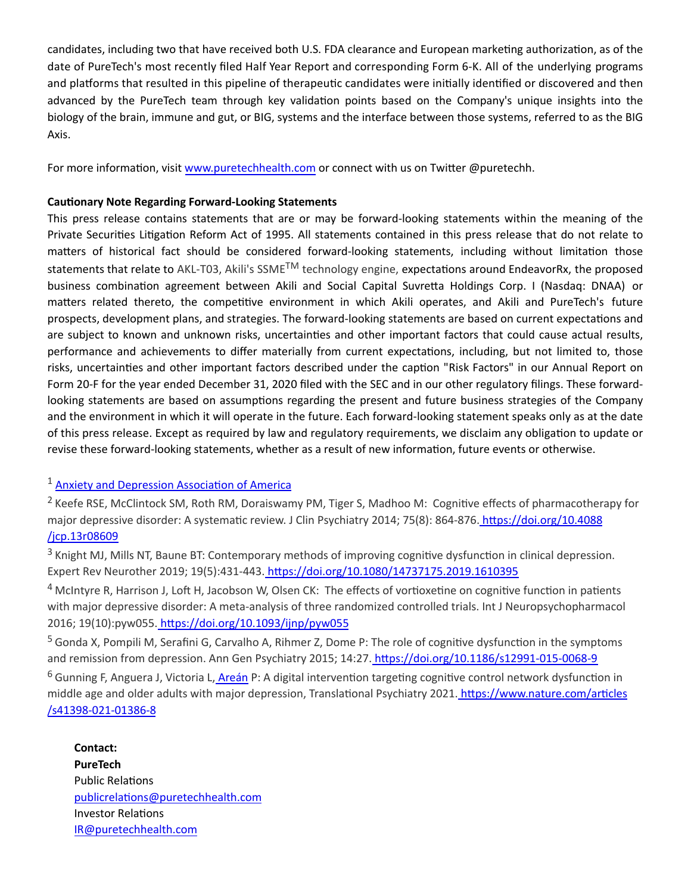candidates, including two that have received both U.S. FDA clearance and European marketing authorization, as of the date of PureTech's most recently filed Half Year Report and corresponding Form 6-K. All of the underlying programs and platforms that resulted in this pipeline of therapeutic candidates were initially identified or discovered and then advanced by the PureTech team through key validation points based on the Company's unique insights into the biology of the brain, immune and gut, or BIG, systems and the interface between those systems, referred to as the BIG Axis.

For more information, visit [www.puretechhealth.com o](http://www.puretechhealth.com/)r connect with us on Twitter @puretechh.

## **CauƟonary Note Regarding Forward-Looking Statements**

This press release contains statements that are or may be forward-looking statements within the meaning of the Private Securities Litigation Reform Act of 1995. All statements contained in this press release that do not relate to matters of historical fact should be considered forward-looking statements, including without limitation those statements that relate to AKL-T03, Akili's SSME<sup>TM</sup> technology engine, expectations around EndeavorRx, the proposed business combination agreement between Akili and Social Capital Suvretta Holdings Corp. I (Nasdaq: DNAA) or matters related thereto, the competitive environment in which Akili operates, and Akili and PureTech's future prospects, development plans, and strategies. The forward-looking statements are based on current expectations and are subject to known and unknown risks, uncertainties and other important factors that could cause actual results, performance and achievements to differ materially from current expectations, including, but not limited to, those risks, uncertainties and other important factors described under the caption "Risk Factors" in our Annual Report on Form 20-F for the year ended December 31, 2020 filed with the SEC and in our other regulatory filings. These forwardlooking statements are based on assumptions regarding the present and future business strategies of the Company and the environment in which it will operate in the future. Each forward-looking statement speaks only as at the date of this press release. Except as required by law and regulatory requirements, we disclaim any obligation to update or revise these forward-looking statements, whether as a result of new information, future events or otherwise.

# $1$  Anxiety and Depression Association of America

<sup>2</sup> Keefe RSE, McClintock SM, Roth RM, Doraiswamy PM, Tiger S, Madhoo M: Cognitive effects of pharmacotherapy for major depressive disorder: A systematic review. J Clin Psychiatry 2014; 75(8): 864-876. https://doi.org/10.4088 /jcp.13r08609

 $3$  Knight MJ, Mills NT, Baune BT: Contemporary methods of improving cognitive dysfunction in clinical depression. Expert Rev Neurother 2019; 19(5):431-443. https://doi.org/10.1080/14737175.2019.1610395

<sup>4</sup> McIntyre R, Harrison J, Loft H, Jacobson W, Olsen CK: The effects of vortioxetine on cognitive function in patients with major depressive disorder: A meta-analysis of three randomized controlled trials. Int J Neuropsychopharmacol 2016; 19(10):pyw055. [hƩps://doi.org/10.1093/ijnp/pyw055](https://doi.org/10.1093/ijnp/pyw055)

 $5$  Gonda X, Pompili M, Serafini G, Carvalho A, Rihmer Z, Dome P: The role of cognitive dysfunction in the symptoms and remission from depression. Ann Gen Psychiatry 2015; 14:27. https://doi.org/10.1186/s12991-015-0068-9

 $6$  Gunning F, Anguera J, Victoria L[, Areán P](https://www.nature.com/articles/s41398-021-01386-8#auth-Patricia_A_-Are_n): A digital intervention targeting cognitive control network dysfunction in middle age and older adults with major depression, Translational Psychiatry 2021. https://www.nature.com/articles /s41398-021-01386-8

**Contact: PureTech** Public Relations [publicrelaƟons@puretechhealth.com](mailto:publicrelations@puretechhealth.com) Investor Relations [IR@puretechhealth.com](mailto:IR@puretechhealth.com)